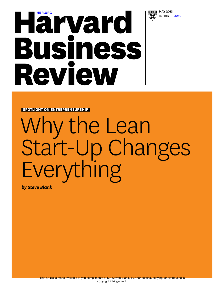

# **[HBR.ORG](http://hbr.org) MAY 2013**<br>**2014 MAY 2013 Business** Review

**SPOTLIGHT ON ENTREPRENEURSHIP**

## Why the Lean Start-Up Changes Everything

*by Steve Blank*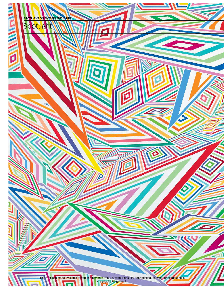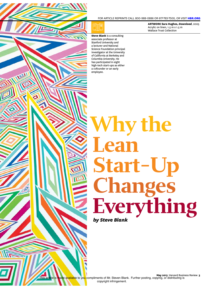

FOR ARTICLE REPRINTS CALL 800-988-0886 OR 617-783-7500, OR VISIT **[HBR.ORG](http://hbr.org)**

**Steve Blank** is a consulting associate professor at Stanford University and a lecturer and National Science Foundation principal investigator at the University of California at Berkeley and Columbia University. He has participated in eight high-tech start-ups as either a cofounder or an early employee.

**ARTWORK Sara Hughes,** *Download*, 2005 Acrylic on linen, 1.5 m x 1.5 m Wallace Trust Collection

**Why the Lean Start-Up Changes Everything**

*by Steve Blank*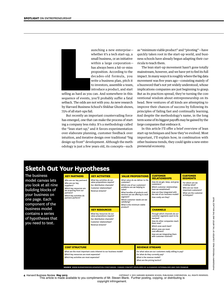

aunching a new enterprise whether it's a tech start-up, a small business, or an initiative within a large corporation has always been a hit-or-miss proposition. According to the decades-old formula, you write a business plan, pitch it to investors, assemble a team, introduce a product, and start

selling as hard as you can. And somewhere in this sequence of events, you'll probably suffer a fatal setback. The odds are not with you: As new research by Harvard Business School's Shikhar Ghosh shows, 75% of all start-ups fail.

But recently an important countervailing force has emerged, one that can make the process of starting a company less risky. It's a methodology called the "lean start-up," and it favors experimentation over elaborate planning, customer feedback over intuition, and iterative design over traditional "big design up front" development. Although the methodology is just a few years old, its concepts—such

as "minimum viable product" and "pivoting"—have quickly taken root in the start-up world, and business schools have already begun adapting their curricula to teach them.

The lean start-up movement hasn't gone totally mainstream, however, and we have yet to feel its full impact. In many ways it is roughly where the big data movement was five years ago—consisting mainly of a buzzword that's not yet widely understood, whose implications companies are just beginning to grasp. But as its practices spread, they're turning the conventional wisdom about entrepreneurship on its head. New ventures of all kinds are attempting to improve their chances of success by following its principles of failing fast and continually learning. And despite the methodology's name, in the long term some of its biggest payoffs may be gained by the large companies that embrace it.

In this article I'll offer a brief overview of lean start-up techniques and how they've evolved. Most important, I'll explain how, in combination with other business trends, they could ignite a new entrepreneurial economy.

| <b>Sketch Out Your Hypotheses</b>                                                                                                                                                                           |                                                                                                                                                                             |                                                                                                                                                                                                                                                                                                         |                                                                                                                                                                                                                                                                                                                          |                                                                                                                                                           |                                                                                                                                                                                                                                                                                                                                                                                                                                                                          |                                                                                                                        |
|-------------------------------------------------------------------------------------------------------------------------------------------------------------------------------------------------------------|-----------------------------------------------------------------------------------------------------------------------------------------------------------------------------|---------------------------------------------------------------------------------------------------------------------------------------------------------------------------------------------------------------------------------------------------------------------------------------------------------|--------------------------------------------------------------------------------------------------------------------------------------------------------------------------------------------------------------------------------------------------------------------------------------------------------------------------|-----------------------------------------------------------------------------------------------------------------------------------------------------------|--------------------------------------------------------------------------------------------------------------------------------------------------------------------------------------------------------------------------------------------------------------------------------------------------------------------------------------------------------------------------------------------------------------------------------------------------------------------------|------------------------------------------------------------------------------------------------------------------------|
| The business                                                                                                                                                                                                | <b>KEY PARTNERS</b>                                                                                                                                                         | <b>KEY ACTIVITIES</b>                                                                                                                                                                                                                                                                                   |                                                                                                                                                                                                                                                                                                                          |                                                                                                                                                           | <b>CUSTOMER</b><br><b>RELATIONSHIPS</b>                                                                                                                                                                                                                                                                                                                                                                                                                                  | <b>CUSTOMER</b><br><b>SEGMENTS</b>                                                                                     |
| model canvas lets<br>you look at all nine<br>building blocks of<br>your business on<br>one page. Each<br>component of the<br>business model<br>contains a series<br>of hypotheses that<br>you need to test. | Who are our key partners?<br>Who are our key<br>suppliers?<br>Which key resources are<br>we acquiring from our<br>partners?<br>Which key activities do<br>partners perform? | What key activities do our<br>value propositions require?<br>Our distribution channels?<br>Customer relationships?<br>Revenue streams?<br><b>KEY RESOURCES</b><br>What key resources do our<br>value propositions require?<br>Our distribution channels?<br>Customer relationships?<br>Revenue streams? | <b>VALUE PROPOSITIONS</b><br>What value do we deliver to the<br>customer?<br>Which one of our customers'<br>problems are we helping to<br>solve?<br>What bundles of products and<br>services are we offering to each<br>segment?<br>Which customer needs are we<br>satisfying?<br>What is the minimum viable<br>product? |                                                                                                                                                           | How do we get, keep, and grow<br>customers?<br>Which customer relationships<br>have we established?<br>How are they integrated with<br>the rest of our business model?<br>How costly are they?<br><b>CHANNELS</b><br>Through which channels do our<br>customer segments want to be<br>reached?<br>How do other companies reach<br>them now?<br>Which ones work best?<br>Which ones are most<br>cost-efficient?<br>How are we integrating them<br>with customer routines? | For whom are we<br>creating value?<br>Who are our most<br>important customers?<br>What are the customer<br>archetypes? |
| <b>COST STRUCTURE</b>                                                                                                                                                                                       |                                                                                                                                                                             |                                                                                                                                                                                                                                                                                                         |                                                                                                                                                                                                                                                                                                                          | <b>REVENUE STREAMS</b>                                                                                                                                    |                                                                                                                                                                                                                                                                                                                                                                                                                                                                          |                                                                                                                        |
|                                                                                                                                                                                                             | What are the most important costs inherent to our business model?<br>Which key resources are most expensive?<br>Which key activities are most expensive?                    |                                                                                                                                                                                                                                                                                                         |                                                                                                                                                                                                                                                                                                                          | For what value are our customers really willing to pay?<br>For what do they currently pay?<br>What is the revenue model?<br>What are the pricing tactics? |                                                                                                                                                                                                                                                                                                                                                                                                                                                                          |                                                                                                                        |

#### **4** Harvard Business Review **May 2013**

COPYRIGHT © 2013 HARVARD BUSINESS SCHOOL PUBLISHING CORPORATION. ALL RIGHTS RESERVED.

This article is made available to you compliments of Mr. Steven Blank. Further posting, copying, or distributing is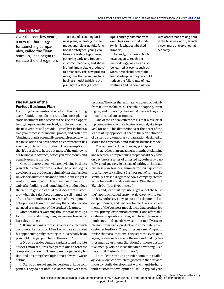#### **Idea in Brief**

Over the past few years, a new methodology for launching companies, called the "lean start-up," has begun to replace the old regimen.

Instead of executing business plans, operating in stealth mode, and releasing fully functional prototypes, young ventures are testing hypotheses, gathering early and frequent customer feedback, and showing "minimum viable products" to prospects. This new process recognizes that searching for a business model (which is the primary task facing a startup) is entirely different from executing against that model (which is what established firms do).

Recently, business schools have begun to teach the methodology, which can also be learned at events such as Startup Weekend. Over time, lean start-up techniques could reduce the failure rate of new ventures and, in combination

with other trends taking hold in the business world, launch a new, more entrepreneurial economy.

#### **The Fallacy of the Perfect Business Plan**

According to conventional wisdom, the first thing every founder must do is create a business plan—a static document that describes the size of an opportunity, the problem to be solved, and the solution that the new venture will provide. Typically it includes a five-year forecast for income, profits, and cash flow. A business plan is essentially a research exercise written in isolation at a desk before an entrepreneur has even begun to build a product. The assumption is that it's possible to figure out most of the unknowns of a business in advance, before you raise money and actually execute the idea.

Once an entrepreneur with a convincing business plan obtains money from investors, he or she begins developing the product in a similarly insular fashion. Developers invest thousands of man-hours to get it ready for launch, with little if any customer input. Only after building and launching the product does the venture get substantial feedback from customers—when the sales force attempts to sell it. And too often, after months or even years of development, entrepreneurs learn the hard way that customers do not need or want most of the product's features.

After decades of watching thousands of start-ups follow this standard regimen, we've now learned at least three things:

1. Business plans rarely survive first contact with customers. As the boxer Mike Tyson once said about his opponents' prefight strategies: "Everybody has a plan until they get punched in the mouth."

2. No one besides venture capitalists and the late Soviet Union requires five-year plans to forecast complete unknowns. These plans are generally fiction, and dreaming them up is almost always a waste of time.

3. Start-ups are not smaller versions of large companies. They do not unfold in accordance with master plans. The ones that ultimately succeed go quickly from failure to failure, all the while adapting, iterating on, and improving their initial ideas as they continually learn from customers.

One of the critical differences is that while existing companies execute a business model, start-ups look for one. This distinction is at the heart of the lean start-up approach. It shapes the lean definition of a start-up: a temporary organization designed to search for a repeatable and scalable business model.

The lean method has three key principles:

First, rather than engaging in months of planning and research, entrepreneurs accept that all they have on day one is a series of untested hypotheses—basically, good guesses. So instead of writing an intricate business plan, founders summarize their hypotheses in a framework called a business model canvas. Essentially, this is a diagram of how a company creates value for itself and its customers. (See the exhibit "Sketch Out Your Hypotheses.")

Second, lean start-ups use a "get out of the building" approach called customer development to test their hypotheses. They go out and ask potential users, purchasers, and partners for feedback on all elements of the business model, including product features, pricing, distribution channels, and affordable customer acquisition strategies. The emphasis is on nimbleness and speed: New ventures rapidly assemble minimum viable products and immediately elicit customer feedback. Then, using customers' input to revise their assumptions, they start the cycle over again, testing redesigned offerings and making further small adjustments (iterations) or more substantive ones (pivots) to ideas that aren't working. (See the exhibit "Listen to Customers.")

Third, lean start-ups practice something called agile development, which originated in the software industry. Agile development works hand-in-hand with customer development. Unlike typical year-

**May 2013** Harvard Business Review **5**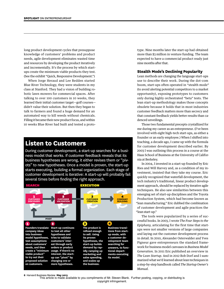long product development cycles that presuppose knowledge of customers' problems and product needs, agile development eliminates wasted time and resources by developing the product iteratively and incrementally. It's the process by which startups create the minimum viable products they test. (See the exhibit "Quick, Responsive Development.")

When Jorge Heraud and Lee Redden started Blue River Technology, they were students in my class at Stanford. They had a vision of building robotic lawn mowers for commercial spaces. After talking to over 100 customers in 10 weeks, they learned their initial customer target—golf courses didn't value their solution. But then they began to talk to farmers and found a huge demand for an automated way to kill weeds without chemicals. Filling it became their new product focus, and within 10 weeks Blue River had built and tested a proto-

### **Listen to Customers**

During customer development, a start-up searches for a business model that works. If customer feedback reveals that its business hypotheses are wrong, it either revises them or "pivots" to new hypotheses. Once a model is proven, the start-up starts executing, building a formal organization. Each stage of customer development is iterative: A start-up will probably fail several times before finding the right approach.



type. Nine months later the start-up had obtained more than \$3 million in venture funding. The team expected to have a commercial product ready just nine months after that.

#### **Stealth Mode's Declining Popularity**

Lean methods are changing the language start-ups use to describe their work. During the dot-com boom, start-ups often operated in "stealth mode" (to avoid alerting potential competitors to a market opportunity), exposing prototypes to customers only during highly orchestrated "beta" tests. The lean start-up methodology makes those concepts obsolete because it holds that in most industries customer feedback matters more than secrecy and that constant feedback yields better results than cadenced unveilings.

Those two fundamental precepts crystallized for me during my career as an entrepreneur. (I've been involved with eight high-tech start-ups, as either a founder or an early employee.) When I shifted into teaching, a decade ago, I came up with the formula for customer development described earlier. By 2003 I was outlining this process in a course at the Haas School of Business at the University of California at Berkeley.

In 2004, I invested in a start-up founded by Eric Ries and Will Harvey and, as a condition of my investment, insisted that they take my course. Eric quickly recognized that waterfall development, the tech industry's traditional, linear product development approach, should be replaced by iterative agile techniques. He also saw similarities between this emerging set of start-up disciplines and the Toyota Production System, which had become known as "lean manufacturing." Eric dubbed the combination of customer development and agile practices the "lean start-up."

The tools were popularized by a series of successful books. In 2003, I wrote The Four Steps to the Epiphany, articulating for the first time that startups were not smaller versions of large companies and laying out the customer development process in detail. In 2010, Alexander Osterwalder and Yves Pigneur gave entrepreneurs the standard framework for business model canvases in Business Model Generation. In 2011 Eric published an overview in The Lean Startup. And in 2012 Bob Dorf and I summarized what we'd learned about lean techniques in a step-by-step handbook called The Startup Owner's Manual.

**6** Harvard Business Review **May 2013**

This article is made available to you compliments of Mr. Steven Blank. Further posting, copying, or distributing is copyright infringement.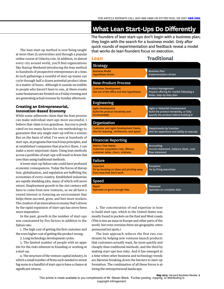## **What Lean Start-Ups Do Differently**

The founders of lean start-ups don't begin with a business plan; they begin with the search for a business model. Only after quick rounds of experimentation and feedback reveal a model that works do lean founders focus on execution.

The lean start-up method is now being taught at more than 25 universities and through a popular online course at Udacity.com. In addition, in almost every city around world, you'll find organizations like Startup Weekend introducing the lean method to hundreds of prospective entrepreneurs at a time. At such gatherings a roomful of start-up teams can cycle through half a dozen potential product ideas in a matter of hours. Although it sounds incredible to people who haven't been to one, at these events some businesses are formed on a Friday evening and are generating actual revenue by Sunday afternoon.

#### **Creating an Entrepreneurial, Innovation-Based Economy**

While some adherents claim that the lean process can make individual start-ups more successful, I believe that claim is too grandiose. Success is predicated on too many factors for one methodology to guarantee that any single start-up will be a winner. But on the basis of what I've seen at hundreds of start-ups, at programs that teach lean principles, and at established companies that practice them, I can make a more important claim: Using lean methods across a portfolio of start-ups will result in fewer failures than using traditional methods.

A lower start-up failure rate could have profound economic consequences. Today the forces of disruption, globalization, and regulation are buffeting the economies of every country. Established industries are rapidly shedding jobs, many of which will never return. Employment growth in the 21st century will have to come from new ventures, so we all have a vested interest in fostering an environment that helps them succeed, grow, and hire more workers. The creation of an innovation economy that's driven by the rapid expansion of start-ups has never been more imperative.

In the past, growth in the number of start-ups was constrained by five factors in addition to the failure rate:

1. The high cost of getting the first customer and the even higher cost of getting the product wrong.

2. Long technology development cycles.

3. The limited number of people with an appetite for the risks inherent in founding or working at a start-up.

4. The structure of the venture capital industry, in which a small number of firms each needed to invest big sums in a handful of start-ups to have a chance at significant returns.



5. The concentration of real expertise in how to build start-ups, which in the United States was mostly found in pockets on the East and West coasts. (This is less an issue in Europe and other parts of the world, but even overseas there are geographic entrepreneurial hot spots.)

The lean approach reduces the first two constraints by helping new ventures launch products that customers actually want, far more quickly and cheaply than traditional methods, and the third by making start-ups less risky. And it has emerged at a time when other business and technology trends are likewise breaking down the barriers to start-up formation. The combination of all these forces is altering the entrepreneurial landscape.

copyright infringement.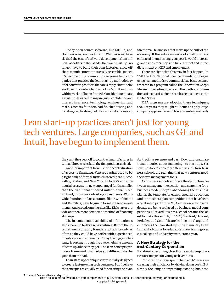Today open source software, like GitHub, and cloud services, such as Amazon Web Services, have slashed the cost of software development from millions of dollars to thousands. Hardware start-ups no longer have to build their own factories, since offshore manufacturers are so easily accessible. Indeed, it's become quite common to see young tech companies that practice the lean start-up methodology offer software products that are simply "bits" delivered over the web or hardware that's built in China within weeks of being formed. Consider Roominate, a start-up designed to inspire girls' confidence and interest in science, technology, engineering, and math. Once its founders had finished testing and iterating on the design of their wired dollhouse kit,

Street small businesses that make up the bulk of the economy. If the entire universe of small business embraced them, I strongly suspect it would increase growth and efficiency, and have a direct and immediate impact on GDP and employment.

There are signs that this may in fact happen. In 2011 the U.S. National Science Foundation began using lean methods to commercialize basic science research in a program called the Innovation Corps. Eleven universities now teach the methods to hundreds of teams of senior research scientists across the United States.

MBA programs are adopting these techniques, too. For years they taught students to apply largecompany approaches—such as accounting methods

Lean start-up practices aren't just for young tech ventures. Large companies, such as GE and Intuit, have begun to implement them.

> they sent the specs off to a contract manufacturer in China. Three weeks later the first products arrived.

Another important trend is the decentralization of access to financing. Venture capital used to be a tight club of formal firms clustered near Silicon Valley, Boston, and New York. In today's entrepreneurial ecosystem, new super angel funds, smaller than the traditional hundred-million-dollar-sized VC fund, can make early-stage investments. Worldwide, hundreds of accelerators, like Y Combinator and TechStars, have begun to formalize seed investments. And crowdsourcing sites like Kickstarter provide another, more democratic method of financing start-ups.

The instantaneous availability of information is also a boon to today's new ventures. Before the internet, new company founders got advice only as often as they could have coffee with experienced investors or entrepreneurs. Today the biggest challenge is sorting through the overwhelming amount of start-up advice they get. The lean concepts provide a framework that helps you differentiate the good from the bad.

Lean start-up techniques were initially designed to create fast-growing tech ventures. But I believe the concepts are equally valid for creating the Main

for tracking revenue and cash flow, and organizational theories about managing—to start-ups. Yet start-ups face completely different issues. Now business schools are realizing that new ventures need their own management tools.

As business schools embrace the distinction between management execution and searching for a business model, they're abandoning the business plan as the template for entrepreneurial education. And the business plan competitions that have been a celebrated part of the MBA experience for over a decade are being replaced by business model competitions. (Harvard Business School became the latest to make this switch, in 2012.) Stanford, Harvard, Berkeley, and Columbia are leading the charge and embracing the lean start-up curriculum. My Lean LaunchPad course for educators is now training over 250 college and university instructors a year.

#### **A New Strategy for the 21st-Century Corporation**

It's already becoming clear that lean start-up practices are not just for young tech ventures.

Corporations have spent the past 20 years increasing their efficiency by driving down costs. But simply focusing on improving existing business

copyright infringement.